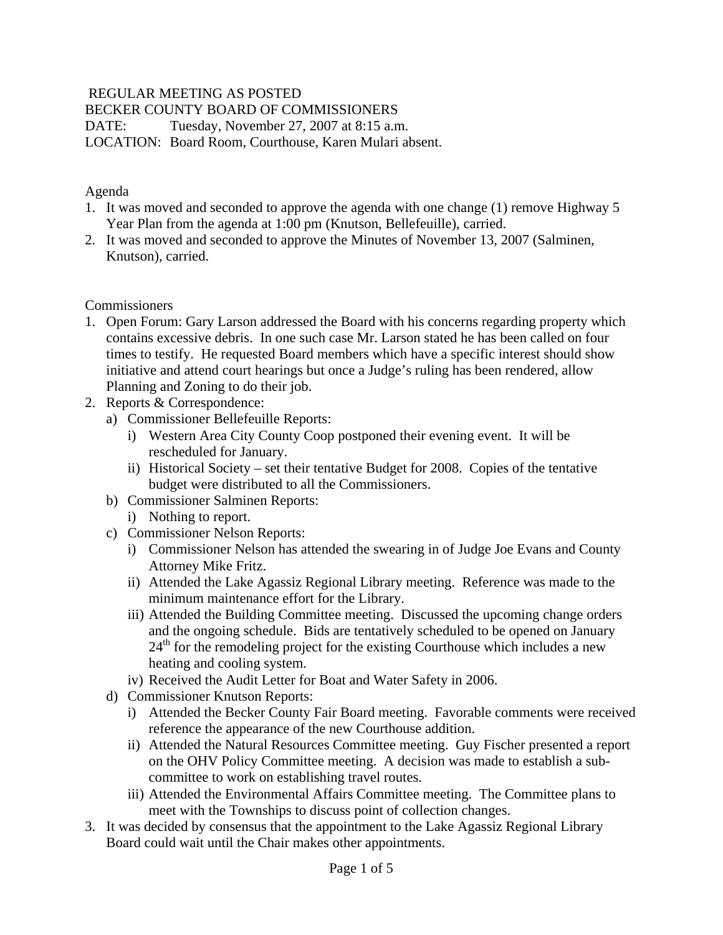## REGULAR MEETING AS POSTED

BECKER COUNTY BOARD OF COMMISSIONERS

DATE: Tuesday, November 27, 2007 at 8:15 a.m.

LOCATION: Board Room, Courthouse, Karen Mulari absent.

### Agenda

- 1. It was moved and seconded to approve the agenda with one change (1) remove Highway 5 Year Plan from the agenda at 1:00 pm (Knutson, Bellefeuille), carried.
- 2. It was moved and seconded to approve the Minutes of November 13, 2007 (Salminen, Knutson), carried.

### **Commissioners**

- 1. Open Forum: Gary Larson addressed the Board with his concerns regarding property which contains excessive debris. In one such case Mr. Larson stated he has been called on four times to testify. He requested Board members which have a specific interest should show initiative and attend court hearings but once a Judge's ruling has been rendered, allow Planning and Zoning to do their job.
- 2. Reports & Correspondence:
	- a) Commissioner Bellefeuille Reports:
		- i) Western Area City County Coop postponed their evening event. It will be rescheduled for January.
		- ii) Historical Society set their tentative Budget for 2008. Copies of the tentative budget were distributed to all the Commissioners.
	- b) Commissioner Salminen Reports:
		- i) Nothing to report.
	- c) Commissioner Nelson Reports:
		- i) Commissioner Nelson has attended the swearing in of Judge Joe Evans and County Attorney Mike Fritz.
		- ii) Attended the Lake Agassiz Regional Library meeting. Reference was made to the minimum maintenance effort for the Library.
		- iii) Attended the Building Committee meeting. Discussed the upcoming change orders and the ongoing schedule. Bids are tentatively scheduled to be opened on January  $24<sup>th</sup>$  for the remodeling project for the existing Courthouse which includes a new heating and cooling system.
		- iv) Received the Audit Letter for Boat and Water Safety in 2006.
	- d) Commissioner Knutson Reports:
		- i) Attended the Becker County Fair Board meeting. Favorable comments were received reference the appearance of the new Courthouse addition.
		- ii) Attended the Natural Resources Committee meeting. Guy Fischer presented a report on the OHV Policy Committee meeting. A decision was made to establish a subcommittee to work on establishing travel routes.
		- iii) Attended the Environmental Affairs Committee meeting. The Committee plans to meet with the Townships to discuss point of collection changes.
- 3. It was decided by consensus that the appointment to the Lake Agassiz Regional Library Board could wait until the Chair makes other appointments.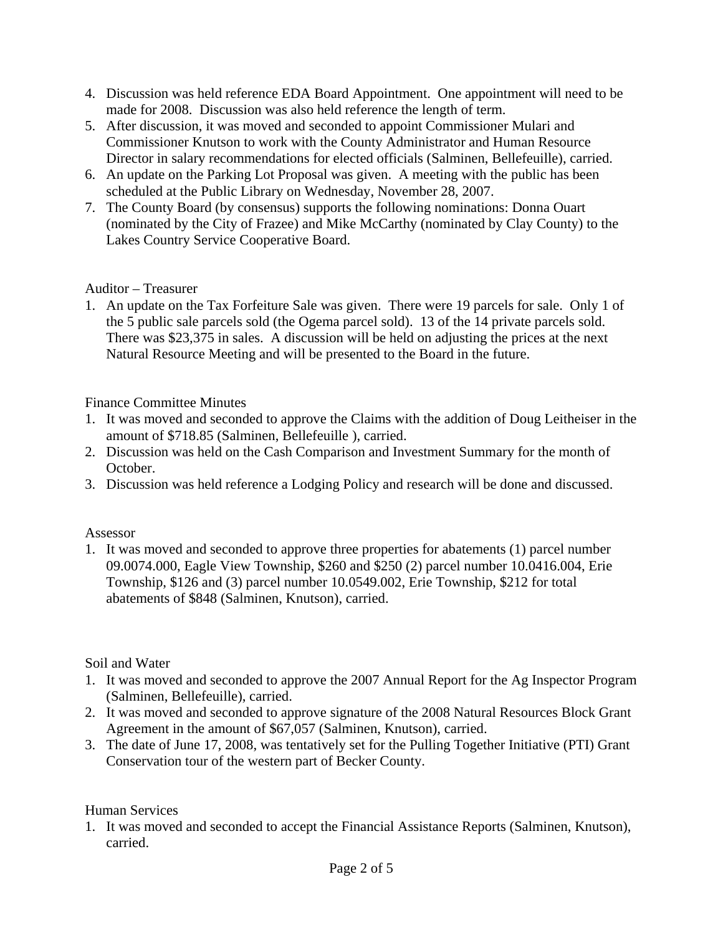- 4. Discussion was held reference EDA Board Appointment. One appointment will need to be made for 2008. Discussion was also held reference the length of term.
- 5. After discussion, it was moved and seconded to appoint Commissioner Mulari and Commissioner Knutson to work with the County Administrator and Human Resource Director in salary recommendations for elected officials (Salminen, Bellefeuille), carried.
- 6. An update on the Parking Lot Proposal was given. A meeting with the public has been scheduled at the Public Library on Wednesday, November 28, 2007.
- 7. The County Board (by consensus) supports the following nominations: Donna Ouart (nominated by the City of Frazee) and Mike McCarthy (nominated by Clay County) to the Lakes Country Service Cooperative Board.

# Auditor – Treasurer

1. An update on the Tax Forfeiture Sale was given. There were 19 parcels for sale. Only 1 of the 5 public sale parcels sold (the Ogema parcel sold). 13 of the 14 private parcels sold. There was \$23,375 in sales. A discussion will be held on adjusting the prices at the next Natural Resource Meeting and will be presented to the Board in the future.

### Finance Committee Minutes

- 1. It was moved and seconded to approve the Claims with the addition of Doug Leitheiser in the amount of \$718.85 (Salminen, Bellefeuille ), carried.
- 2. Discussion was held on the Cash Comparison and Investment Summary for the month of October.
- 3. Discussion was held reference a Lodging Policy and research will be done and discussed.

#### Assessor

1. It was moved and seconded to approve three properties for abatements (1) parcel number 09.0074.000, Eagle View Township, \$260 and \$250 (2) parcel number 10.0416.004, Erie Township, \$126 and (3) parcel number 10.0549.002, Erie Township, \$212 for total abatements of \$848 (Salminen, Knutson), carried.

#### Soil and Water

- 1. It was moved and seconded to approve the 2007 Annual Report for the Ag Inspector Program (Salminen, Bellefeuille), carried.
- 2. It was moved and seconded to approve signature of the 2008 Natural Resources Block Grant Agreement in the amount of \$67,057 (Salminen, Knutson), carried.
- 3. The date of June 17, 2008, was tentatively set for the Pulling Together Initiative (PTI) Grant Conservation tour of the western part of Becker County.

#### Human Services

1. It was moved and seconded to accept the Financial Assistance Reports (Salminen, Knutson), carried.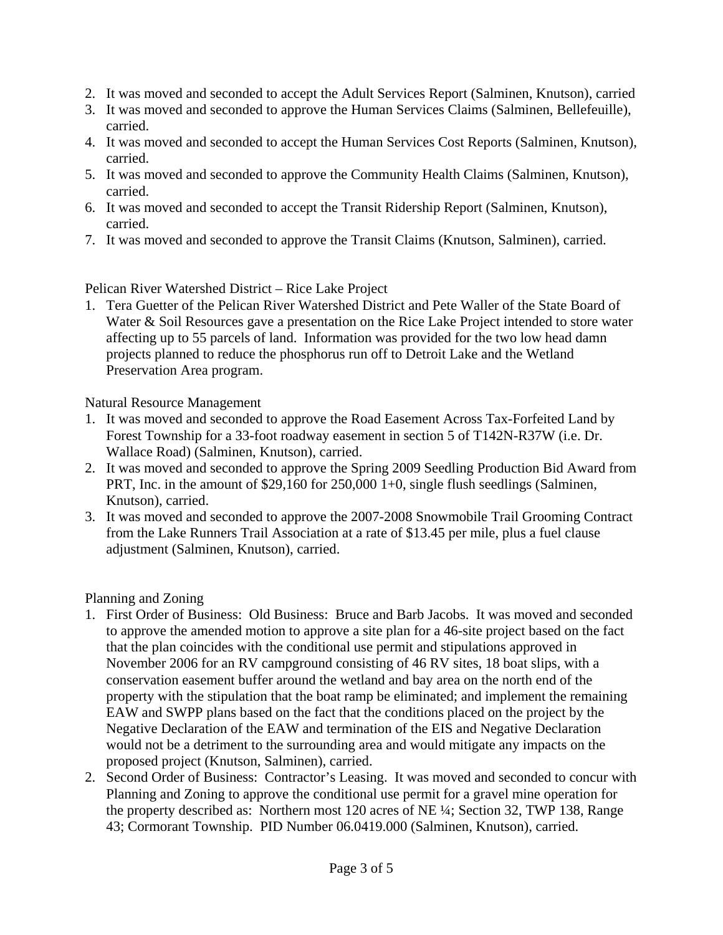- 2. It was moved and seconded to accept the Adult Services Report (Salminen, Knutson), carried
- 3. It was moved and seconded to approve the Human Services Claims (Salminen, Bellefeuille), carried.
- 4. It was moved and seconded to accept the Human Services Cost Reports (Salminen, Knutson), carried.
- 5. It was moved and seconded to approve the Community Health Claims (Salminen, Knutson), carried.
- 6. It was moved and seconded to accept the Transit Ridership Report (Salminen, Knutson), carried.
- 7. It was moved and seconded to approve the Transit Claims (Knutson, Salminen), carried.

Pelican River Watershed District – Rice Lake Project

1. Tera Guetter of the Pelican River Watershed District and Pete Waller of the State Board of Water & Soil Resources gave a presentation on the Rice Lake Project intended to store water affecting up to 55 parcels of land. Information was provided for the two low head damn projects planned to reduce the phosphorus run off to Detroit Lake and the Wetland Preservation Area program.

Natural Resource Management

- 1. It was moved and seconded to approve the Road Easement Across Tax-Forfeited Land by Forest Township for a 33-foot roadway easement in section 5 of T142N-R37W (i.e. Dr. Wallace Road) (Salminen, Knutson), carried.
- 2. It was moved and seconded to approve the Spring 2009 Seedling Production Bid Award from PRT, Inc. in the amount of \$29,160 for 250,000 1+0, single flush seedlings (Salminen, Knutson), carried.
- 3. It was moved and seconded to approve the 2007-2008 Snowmobile Trail Grooming Contract from the Lake Runners Trail Association at a rate of \$13.45 per mile, plus a fuel clause adjustment (Salminen, Knutson), carried.

Planning and Zoning

- 1. First Order of Business: Old Business: Bruce and Barb Jacobs. It was moved and seconded to approve the amended motion to approve a site plan for a 46-site project based on the fact that the plan coincides with the conditional use permit and stipulations approved in November 2006 for an RV campground consisting of 46 RV sites, 18 boat slips, with a conservation easement buffer around the wetland and bay area on the north end of the property with the stipulation that the boat ramp be eliminated; and implement the remaining EAW and SWPP plans based on the fact that the conditions placed on the project by the Negative Declaration of the EAW and termination of the EIS and Negative Declaration would not be a detriment to the surrounding area and would mitigate any impacts on the proposed project (Knutson, Salminen), carried.
- 2. Second Order of Business: Contractor's Leasing. It was moved and seconded to concur with Planning and Zoning to approve the conditional use permit for a gravel mine operation for the property described as: Northern most 120 acres of NE ¼; Section 32, TWP 138, Range 43; Cormorant Township. PID Number 06.0419.000 (Salminen, Knutson), carried.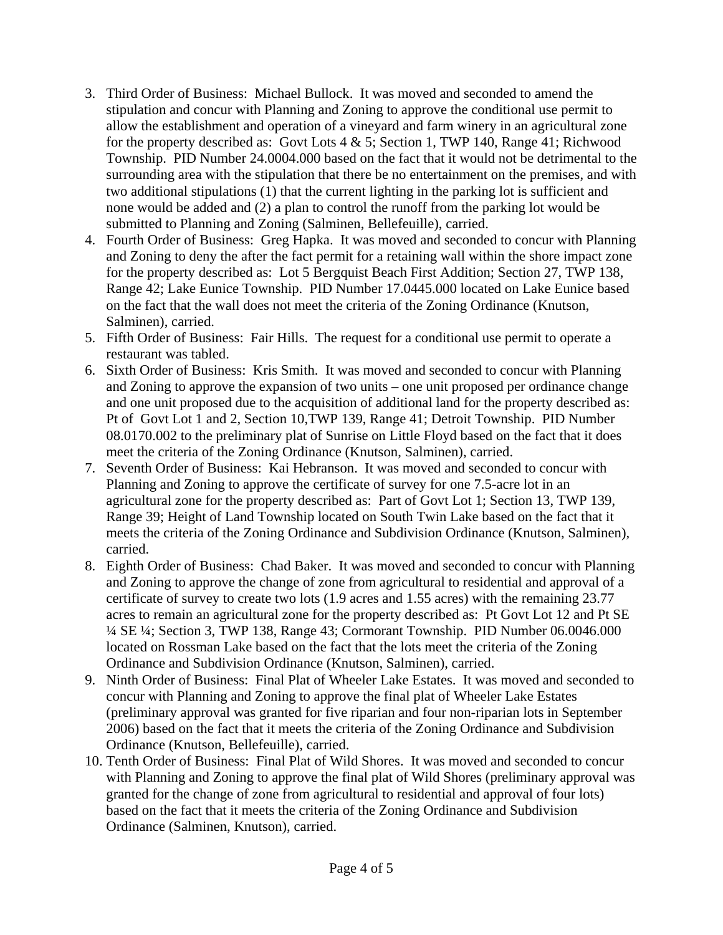- 3. Third Order of Business: Michael Bullock. It was moved and seconded to amend the stipulation and concur with Planning and Zoning to approve the conditional use permit to allow the establishment and operation of a vineyard and farm winery in an agricultural zone for the property described as: Govt Lots 4 & 5; Section 1, TWP 140, Range 41; Richwood Township. PID Number 24.0004.000 based on the fact that it would not be detrimental to the surrounding area with the stipulation that there be no entertainment on the premises, and with two additional stipulations (1) that the current lighting in the parking lot is sufficient and none would be added and (2) a plan to control the runoff from the parking lot would be submitted to Planning and Zoning (Salminen, Bellefeuille), carried.
- 4. Fourth Order of Business: Greg Hapka. It was moved and seconded to concur with Planning and Zoning to deny the after the fact permit for a retaining wall within the shore impact zone for the property described as: Lot 5 Bergquist Beach First Addition; Section 27, TWP 138, Range 42; Lake Eunice Township. PID Number 17.0445.000 located on Lake Eunice based on the fact that the wall does not meet the criteria of the Zoning Ordinance (Knutson, Salminen), carried.
- 5. Fifth Order of Business: Fair Hills. The request for a conditional use permit to operate a restaurant was tabled.
- 6. Sixth Order of Business: Kris Smith. It was moved and seconded to concur with Planning and Zoning to approve the expansion of two units – one unit proposed per ordinance change and one unit proposed due to the acquisition of additional land for the property described as: Pt of Govt Lot 1 and 2, Section 10,TWP 139, Range 41; Detroit Township. PID Number 08.0170.002 to the preliminary plat of Sunrise on Little Floyd based on the fact that it does meet the criteria of the Zoning Ordinance (Knutson, Salminen), carried.
- 7. Seventh Order of Business: Kai Hebranson. It was moved and seconded to concur with Planning and Zoning to approve the certificate of survey for one 7.5-acre lot in an agricultural zone for the property described as: Part of Govt Lot 1; Section 13, TWP 139, Range 39; Height of Land Township located on South Twin Lake based on the fact that it meets the criteria of the Zoning Ordinance and Subdivision Ordinance (Knutson, Salminen), carried.
- 8. Eighth Order of Business: Chad Baker. It was moved and seconded to concur with Planning and Zoning to approve the change of zone from agricultural to residential and approval of a certificate of survey to create two lots (1.9 acres and 1.55 acres) with the remaining 23.77 acres to remain an agricultural zone for the property described as: Pt Govt Lot 12 and Pt SE ¼ SE ¼; Section 3, TWP 138, Range 43; Cormorant Township. PID Number 06.0046.000 located on Rossman Lake based on the fact that the lots meet the criteria of the Zoning Ordinance and Subdivision Ordinance (Knutson, Salminen), carried.
- 9. Ninth Order of Business: Final Plat of Wheeler Lake Estates. It was moved and seconded to concur with Planning and Zoning to approve the final plat of Wheeler Lake Estates (preliminary approval was granted for five riparian and four non-riparian lots in September 2006) based on the fact that it meets the criteria of the Zoning Ordinance and Subdivision Ordinance (Knutson, Bellefeuille), carried.
- 10. Tenth Order of Business: Final Plat of Wild Shores. It was moved and seconded to concur with Planning and Zoning to approve the final plat of Wild Shores (preliminary approval was granted for the change of zone from agricultural to residential and approval of four lots) based on the fact that it meets the criteria of the Zoning Ordinance and Subdivision Ordinance (Salminen, Knutson), carried.